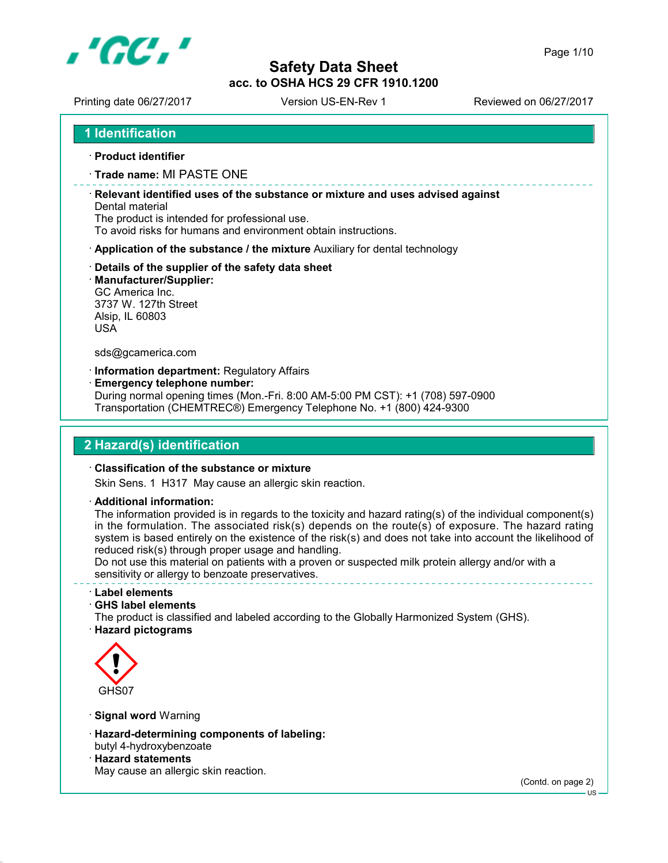

Printing date 06/27/2017 Version US-EN-Rev 1 Reviewed on 06/27/2017

**Product identifier**

**Trade name:** MI PASTE ONE

 **Relevant identified uses of the substance or mixture and uses advised against** Dental material

The product is intended for professional use.

To avoid risks for humans and environment obtain instructions.

- **Application of the substance / the mixture** Auxiliary for dental technology
- **Details of the supplier of the safety data sheet**
- **Manufacturer/Supplier:**

GC America Inc. 3737 W. 127th Street Alsip, IL 60803 USA

sds@gcamerica.com

**Information department:** Regulatory Affairs

**Emergency telephone number:**

During normal opening times (Mon.-Fri. 8:00 AM-5:00 PM CST): +1 (708) 597-0900 Transportation (CHEMTREC®) Emergency Telephone No. +1 (800) 424-9300

## **2 Hazard(s) identification**

#### **Classification of the substance or mixture**

Skin Sens. 1 H317 May cause an allergic skin reaction.

**Additional information:**

The information provided is in regards to the toxicity and hazard rating(s) of the individual component(s) in the formulation. The associated risk(s) depends on the route(s) of exposure. The hazard rating system is based entirely on the existence of the risk(s) and does not take into account the likelihood of reduced risk(s) through proper usage and handling.

Do not use this material on patients with a proven or suspected milk protein allergy and/or with a sensitivity or allergy to benzoate preservatives.

#### **Label elements**

**GHS label elements**

The product is classified and labeled according to the Globally Harmonized System (GHS). **Hazard pictograms**



- **Signal word** Warning
- **Hazard-determining components of labeling:** butyl 4-hydroxybenzoate
- **Hazard statements** May cause an allergic skin reaction.

(Contd. on page 2)

 $-11S$ 

Page 1/10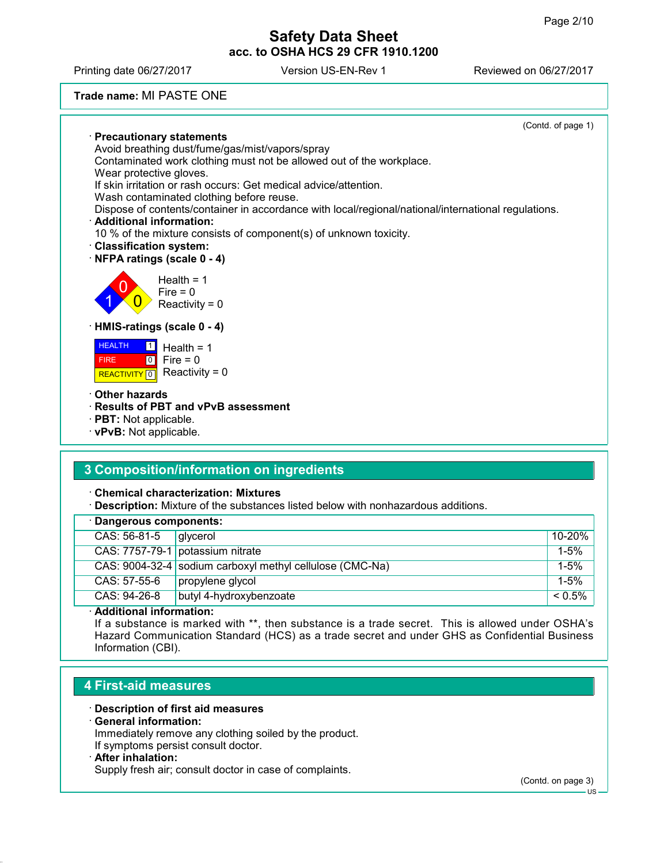Printing date 06/27/2017 Version US-EN-Rev 1 Reviewed on 06/27/2017

**Trade name:** MI PASTE ONE

|                                                                                                     | (Contd. of page 1) |
|-----------------------------------------------------------------------------------------------------|--------------------|
| <b>Precautionary statements</b>                                                                     |                    |
| Avoid breathing dust/fume/gas/mist/vapors/spray                                                     |                    |
| Contaminated work clothing must not be allowed out of the workplace.                                |                    |
| Wear protective gloves.<br>If skin irritation or rash occurs: Get medical advice/attention.         |                    |
| Wash contaminated clothing before reuse.                                                            |                    |
| Dispose of contents/container in accordance with local/regional/national/international regulations. |                    |
| · Additional information:                                                                           |                    |
| 10 % of the mixture consists of component(s) of unknown toxicity.                                   |                    |
| <b>Classification system:</b>                                                                       |                    |
| NFPA ratings (scale 0 - 4)                                                                          |                    |
| Health = $1$<br>$Fire = 0$<br>Reactivity = $0$                                                      |                    |
| · HMIS-ratings (scale 0 - 4)                                                                        |                    |
| <b>HEALTH</b><br>$\vert$ 1 $\vert$<br>Health = $1$                                                  |                    |
| $\overline{0}$<br>Fire = $0$<br><b>FIRE</b>                                                         |                    |
| Reactivity = $0$<br><b>REACTIVITY</b> 0                                                             |                    |
| <b>Other hazards</b>                                                                                |                    |
| · Results of PBT and vPvB assessment                                                                |                    |
| $\cdot$ PBT: Not applicable.                                                                        |                    |
| · vPvB: Not applicable.                                                                             |                    |
|                                                                                                     |                    |
| 0. Ogazza e e 141 e de Harfemarentina e concelho de la carte                                        |                    |

# **3 Composition/information on ingredients**

**Chemical characterization: Mixtures**

**Description:** Mixture of the substances listed below with nonhazardous additions.

| · Dangerous components: |                                                                                                          |  |
|-------------------------|----------------------------------------------------------------------------------------------------------|--|
|                         | 10-20%                                                                                                   |  |
|                         | $1 - 5%$                                                                                                 |  |
|                         | $1 - 5%$                                                                                                 |  |
| propylene glycol        | $1 - 5%$                                                                                                 |  |
| butyl 4-hydroxybenzoate | $< 0.5\%$                                                                                                |  |
|                         | givcerol<br>CAS: 7757-79-1 potassium nitrate<br>CAS: 9004-32-4 sodium carboxyl methyl cellulose (CMC-Na) |  |

**Additional information:**

If a substance is marked with \*\*, then substance is a trade secret. This is allowed under OSHA's Hazard Communication Standard (HCS) as a trade secret and under GHS as Confidential Business Information (CBI).

## **4 First-aid measures**

### **Description of first aid measures**

### **General information:**

Immediately remove any clothing soiled by the product. If symptoms persist consult doctor.

#### **After inhalation:**

Supply fresh air; consult doctor in case of complaints.

(Contd. on page 3)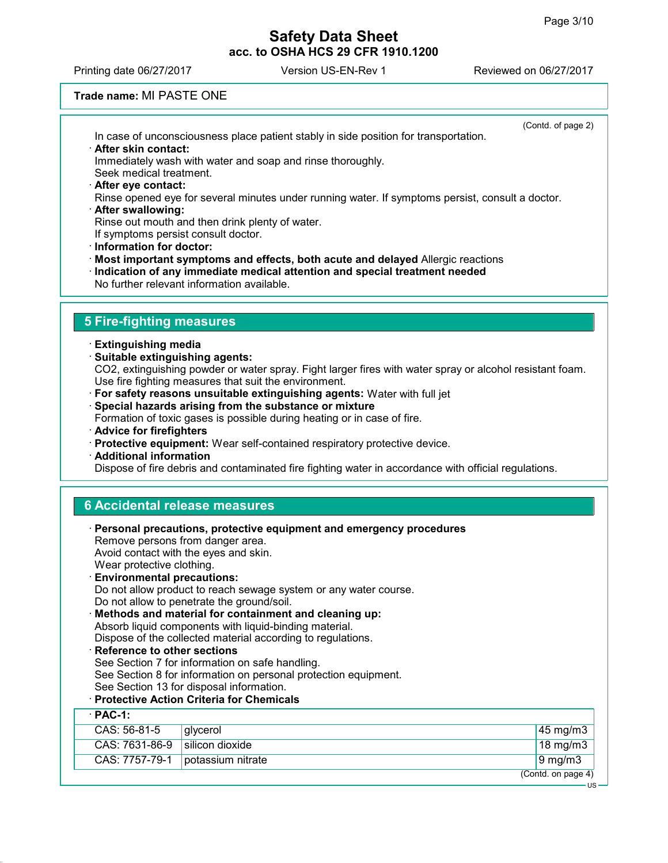Printing date 06/27/2017 Version US-EN-Rev 1 Reviewed on 06/27/2017

### **Trade name:** MI PASTE ONE

|                                                  | In case of unconsciousness place patient stably in side position for transportation.                                                                              | (Contd. of page 2) |
|--------------------------------------------------|-------------------------------------------------------------------------------------------------------------------------------------------------------------------|--------------------|
| · After skin contact:<br>Seek medical treatment. | Immediately wash with water and soap and rinse thoroughly.                                                                                                        |                    |
| After eye contact:                               |                                                                                                                                                                   |                    |
| · After swallowing:                              | Rinse opened eye for several minutes under running water. If symptoms persist, consult a doctor.                                                                  |                    |
|                                                  | Rinse out mouth and then drink plenty of water.                                                                                                                   |                    |
| · Information for doctor:                        | If symptoms persist consult doctor.                                                                                                                               |                    |
|                                                  | Most important symptoms and effects, both acute and delayed Allergic reactions                                                                                    |                    |
|                                                  | Indication of any immediate medical attention and special treatment needed<br>No further relevant information available.                                          |                    |
|                                                  |                                                                                                                                                                   |                    |
| <b>5 Fire-fighting measures</b>                  |                                                                                                                                                                   |                    |
| · Extinguishing media                            |                                                                                                                                                                   |                    |
| Suitable extinguishing agents:                   |                                                                                                                                                                   |                    |
|                                                  | CO2, extinguishing powder or water spray. Fight larger fires with water spray or alcohol resistant foam.<br>Use fire fighting measures that suit the environment. |                    |
|                                                  | · For safety reasons unsuitable extinguishing agents: Water with full jet                                                                                         |                    |
|                                                  | Special hazards arising from the substance or mixture<br>Formation of toxic gases is possible during heating or in case of fire.                                  |                    |
| · Advice for firefighters                        |                                                                                                                                                                   |                    |
| · Additional information                         | · Protective equipment: Wear self-contained respiratory protective device.                                                                                        |                    |
|                                                  | Dispose of fire debris and contaminated fire fighting water in accordance with official regulations.                                                              |                    |
|                                                  |                                                                                                                                                                   |                    |
|                                                  | <b>6 Accidental release measures</b>                                                                                                                              |                    |
|                                                  | <b>Personal precautions, protective equipment and emergency procedures</b>                                                                                        |                    |
|                                                  | Remove persons from danger area.                                                                                                                                  |                    |
| Wear protective clothing.                        | Avoid contact with the eyes and skin.                                                                                                                             |                    |
| <b>Environmental precautions:</b>                |                                                                                                                                                                   |                    |
|                                                  | Do not allow product to reach sewage system or any water course.<br>Do not allow to penetrate the ground/soil.                                                    |                    |
|                                                  | Methods and material for containment and cleaning up:                                                                                                             |                    |
|                                                  | Absorb liquid components with liquid-binding material.                                                                                                            |                    |
| · Reference to other sections                    | Dispose of the collected material according to regulations.                                                                                                       |                    |
|                                                  | See Section 7 for information on safe handling.                                                                                                                   |                    |
|                                                  | See Section 8 for information on personal protection equipment.<br>See Section 13 for disposal information.                                                       |                    |
|                                                  | · Protective Action Criteria for Chemicals                                                                                                                        |                    |
| $PAC-1$ :                                        |                                                                                                                                                                   |                    |
| CAS: 56-81-5                                     | glycerol                                                                                                                                                          | 45 mg/m3           |
| CAS: 7631-86-9                                   | silicon dioxide                                                                                                                                                   | 18 mg/m3           |
| CAS: 7757-79-1                                   | potassium nitrate                                                                                                                                                 | $9$ mg/m $3$       |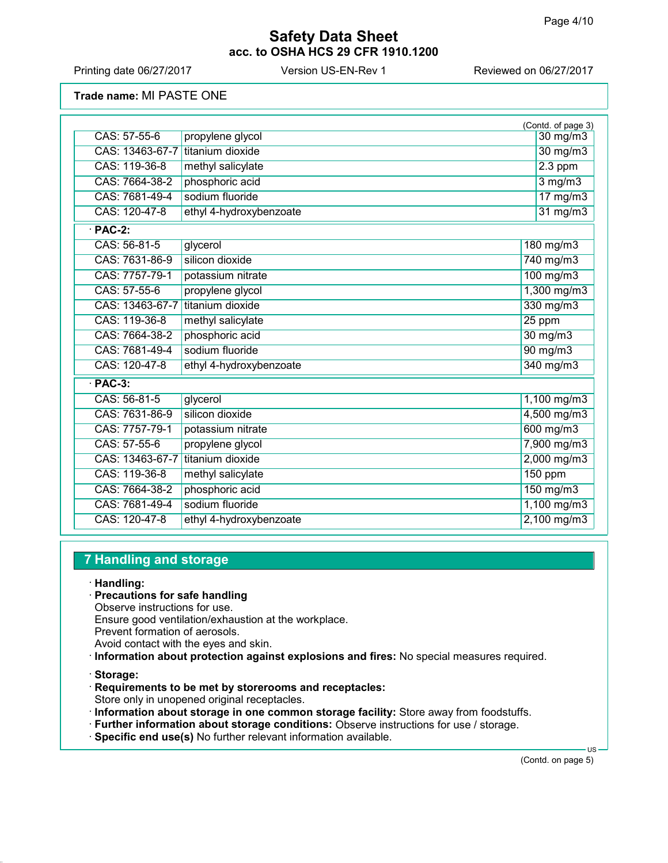Printing date 06/27/2017 Version US-EN-Rev 1 Reviewed on 06/27/2017

**Trade name:** MI PASTE ONE

|                 |                         | (Contd. of page 3) |
|-----------------|-------------------------|--------------------|
| CAS: 57-55-6    | propylene glycol        | $30 \text{ mg/m}$  |
| CAS: 13463-67-7 | titanium dioxide        | 30 mg/m3           |
| CAS: 119-36-8   | methyl salicylate       | $2.3$ ppm          |
| CAS: 7664-38-2  | phosphoric acid         | $3$ mg/m $3$       |
| CAS: 7681-49-4  | sodium fluoride         | 17 mg/m3           |
| CAS: 120-47-8   | ethyl 4-hydroxybenzoate | $31$ mg/m $3$      |
| $\cdot$ PAC-2:  |                         |                    |
| CAS: 56-81-5    | glycerol                | 180 mg/m3          |
| CAS: 7631-86-9  | silicon dioxide         | 740 mg/m3          |
| CAS: 7757-79-1  | potassium nitrate       | 100 mg/m3          |
| CAS: 57-55-6    | propylene glycol        | 1,300 mg/m3        |
| CAS: 13463-67-7 | titanium dioxide        | 330 mg/m3          |
| CAS: 119-36-8   | methyl salicylate       | $25$ ppm           |
| CAS: 7664-38-2  | phosphoric acid         | 30 mg/m3           |
| CAS: 7681-49-4  | sodium fluoride         | 90 mg/m3           |
| CAS: 120-47-8   | ethyl 4-hydroxybenzoate | 340 mg/m3          |
| $·$ PAC-3:      |                         |                    |
| CAS: 56-81-5    | glycerol                | 1,100 mg/m3        |
| CAS: 7631-86-9  | silicon dioxide         | 4,500 mg/m3        |
| CAS: 7757-79-1  | potassium nitrate       | 600 mg/m3          |
| CAS: 57-55-6    | propylene glycol        | 7,900 mg/m3        |
| CAS: 13463-67-7 | titanium dioxide        | $2,000$ mg/m3      |
| CAS: 119-36-8   | methyl salicylate       | 150 ppm            |
| CAS: 7664-38-2  | phosphoric acid         | 150 mg/m3          |
| CAS: 7681-49-4  | sodium fluoride         | 1,100 mg/m3        |
| CAS: 120-47-8   | ethyl 4-hydroxybenzoate | $2,100$ mg/m3      |

# **7 Handling and storage**

- **Handling:**
- **Precautions for safe handling**
- Observe instructions for use.
- Ensure good ventilation/exhaustion at the workplace.
- Prevent formation of aerosols.
- Avoid contact with the eyes and skin.
- **Information about protection against explosions and fires:** No special measures required.
- **Storage:**
- **Requirements to be met by storerooms and receptacles:** Store only in unopened original receptacles.
- **Information about storage in one common storage facility:** Store away from foodstuffs.
- **Further information about storage conditions:** Observe instructions for use / storage.
- **Specific end use(s)** No further relevant information available.

(Contd. on page 5)

US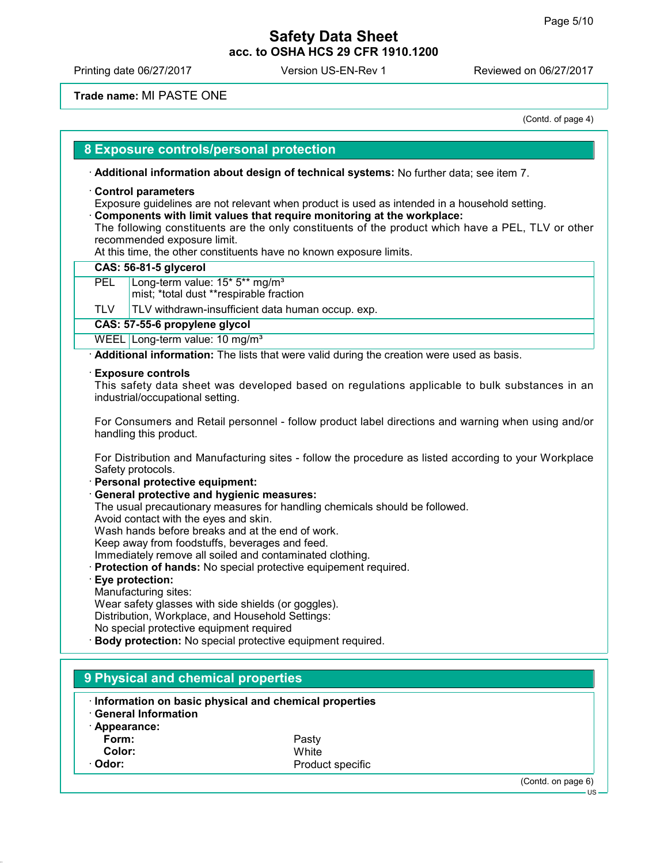Printing date 06/27/2017 Version US-EN-Rev 1 Reviewed on 06/27/2017

### **Trade name:** MI PASTE ONE

(Contd. of page 4)

### **8 Exposure controls/personal protection**

**Additional information about design of technical systems:** No further data; see item 7.

#### **Control parameters**

Exposure guidelines are not relevant when product is used as intended in a household setting.

**Components with limit values that require monitoring at the workplace:**

The following constituents are the only constituents of the product which have a PEL, TLV or other recommended exposure limit.

At this time, the other constituents have no known exposure limits.

#### **CAS: 56-81-5 glycerol**

PEL Long-term value: 15<sup>\*</sup> 5<sup>\*\*</sup> mg/m<sup>3</sup>

mist; \*total dust \*\*respirable fraction

 $TLV$  TLV withdrawn-insufficient data human occup. exp.

#### **CAS: 57-55-6 propylene glycol**

WEEL Long-term value: 10 mg/m<sup>3</sup>

**Additional information:** The lists that were valid during the creation were used as basis.

#### **Exposure controls**

This safety data sheet was developed based on regulations applicable to bulk substances in an industrial/occupational setting.

For Consumers and Retail personnel - follow product label directions and warning when using and/or handling this product.

For Distribution and Manufacturing sites - follow the procedure as listed according to your Workplace Safety protocols.

- **Personal protective equipment:**
- **General protective and hygienic measures:**

The usual precautionary measures for handling chemicals should be followed.

Avoid contact with the eyes and skin.

Wash hands before breaks and at the end of work.

Keep away from foodstuffs, beverages and feed.

Immediately remove all soiled and contaminated clothing.

**Protection of hands:** No special protective equipement required.

### **Eye protection:**

Manufacturing sites: Wear safety glasses with side shields (or goggles). Distribution, Workplace, and Household Settings: No special protective equipment required

**Body protection:** No special protective equipment required.

# **9 Physical and chemical properties Information on basic physical and chemical properties General Information Appearance: Form:** Pasty Color: **Odor:** Product specific

(Contd. on page 6)

US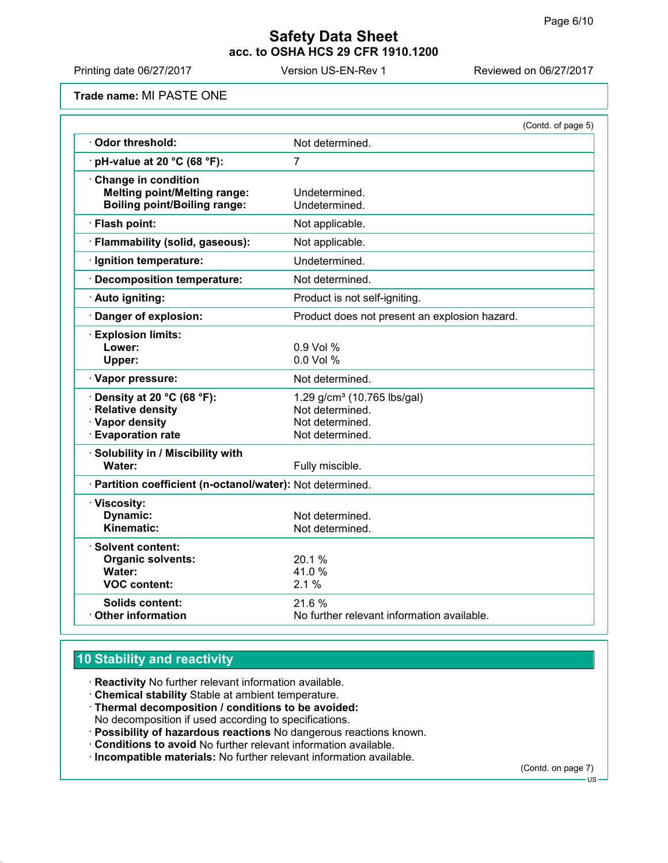Printing date 06/27/2017 Version US-EN-Rev 1 Reviewed on 06/27/2017

**Trade name:** MI PASTE ONE

|                                                                                                            | (Contd. of page 5)                                                                               |
|------------------------------------------------------------------------------------------------------------|--------------------------------------------------------------------------------------------------|
| Odor threshold:                                                                                            | Not determined.                                                                                  |
| pH-value at 20 °C (68 °F):                                                                                 | 7                                                                                                |
| Change in condition<br><b>Melting point/Melting range:</b><br><b>Boiling point/Boiling range:</b>          | Undetermined.<br>Undetermined.                                                                   |
| · Flash point:                                                                                             | Not applicable.                                                                                  |
| · Flammability (solid, gaseous):                                                                           | Not applicable.                                                                                  |
| · Ignition temperature:                                                                                    | Undetermined.                                                                                    |
| Decomposition temperature:                                                                                 | Not determined.                                                                                  |
| · Auto igniting:                                                                                           | Product is not self-igniting.                                                                    |
| Danger of explosion:                                                                                       | Product does not present an explosion hazard.                                                    |
| <b>Explosion limits:</b><br>Lower:<br>Upper:                                                               | 0.9 Vol %<br>0.0 Vol %                                                                           |
| · Vapor pressure:                                                                                          | Not determined.                                                                                  |
| $\cdot$ Density at 20 °C (68 °F):<br><b>Relative density</b><br>· Vapor density<br><b>Evaporation rate</b> | 1.29 g/cm <sup>3</sup> (10.765 lbs/gal)<br>Not determined.<br>Not determined.<br>Not determined. |
| · Solubility in / Miscibility with<br>Water:                                                               | Fully miscible.                                                                                  |
| · Partition coefficient (n-octanol/water): Not determined.                                                 |                                                                                                  |
| · Viscosity:<br><b>Dynamic:</b><br>Kinematic:                                                              | Not determined.<br>Not determined.                                                               |
| · Solvent content:<br><b>Organic solvents:</b><br>Water:<br><b>VOC content:</b>                            | 20.1%<br>41.0%<br>2.1%                                                                           |
| <b>Solids content:</b><br><b>Other information</b>                                                         | 21.6%<br>No further relevant information available.                                              |

# **10 Stability and reactivity**

- **Reactivity** No further relevant information available.
- **Chemical stability** Stable at ambient temperature.
- **Thermal decomposition / conditions to be avoided:** No decomposition if used according to specifications.
- **Possibility of hazardous reactions** No dangerous reactions known.
- **Conditions to avoid** No further relevant information available.
- **Incompatible materials:** No further relevant information available.

(Contd. on page 7)

US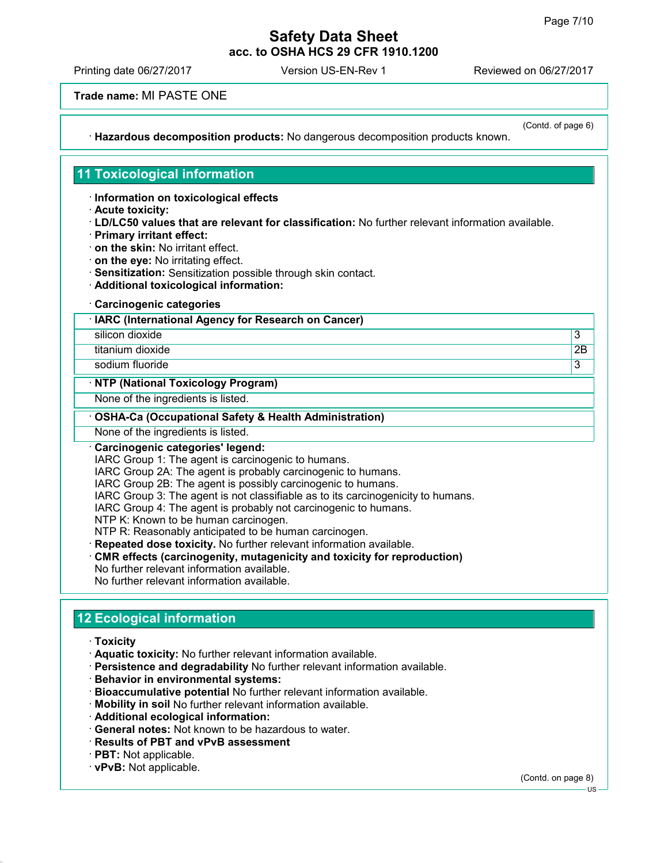Printing date 06/27/2017 Version US-EN-Rev 1 Reviewed on 06/27/2017

**Trade name:** MI PASTE ONE

**Hazardous decomposition products:** No dangerous decomposition products known.

(Contd. of page 6)

## **11 Toxicological information**

**Information on toxicological effects**

- **Acute toxicity:**
- **LD/LC50 values that are relevant for classification:** No further relevant information available.
- **Primary irritant effect:**
- **on the skin:** No irritant effect.
- **on the eye:** No irritating effect.
- **Sensitization:** Sensitization possible through skin contact.
- **Additional toxicological information:**
- **Carcinogenic categories**

**IARC (International Agency for Research on Cancer)**

silicon dioxide 3

titanium dioxide 2B

sodium fluoride **3** 

#### **NTP (National Toxicology Program)**

None of the ingredients is listed.

#### **OSHA-Ca (Occupational Safety & Health Administration)**

None of the ingredients is listed.

### **Carcinogenic categories' legend:**

IARC Group 1: The agent is carcinogenic to humans.

IARC Group 2A: The agent is probably carcinogenic to humans.

IARC Group 2B: The agent is possibly carcinogenic to humans.

IARC Group 3: The agent is not classifiable as to its carcinogenicity to humans.

IARC Group 4: The agent is probably not carcinogenic to humans.

NTP K: Known to be human carcinogen.

NTP R: Reasonably anticipated to be human carcinogen.

- **Repeated dose toxicity.** No further relevant information available.
- **CMR effects (carcinogenity, mutagenicity and toxicity for reproduction)**
- No further relevant information available. No further relevant information available.

# **12 Ecological information**

- **Toxicity**
- **Aquatic toxicity:** No further relevant information available.
- **Persistence and degradability** No further relevant information available.
- **Behavior in environmental systems:**
- **Bioaccumulative potential** No further relevant information available.
- **Mobility in soil** No further relevant information available.
- **Additional ecological information:**
- **General notes:** Not known to be hazardous to water.
- **Results of PBT and vPvB assessment**
- **PBT:** Not applicable.

### **vPvB:** Not applicable.

(Contd. on page 8)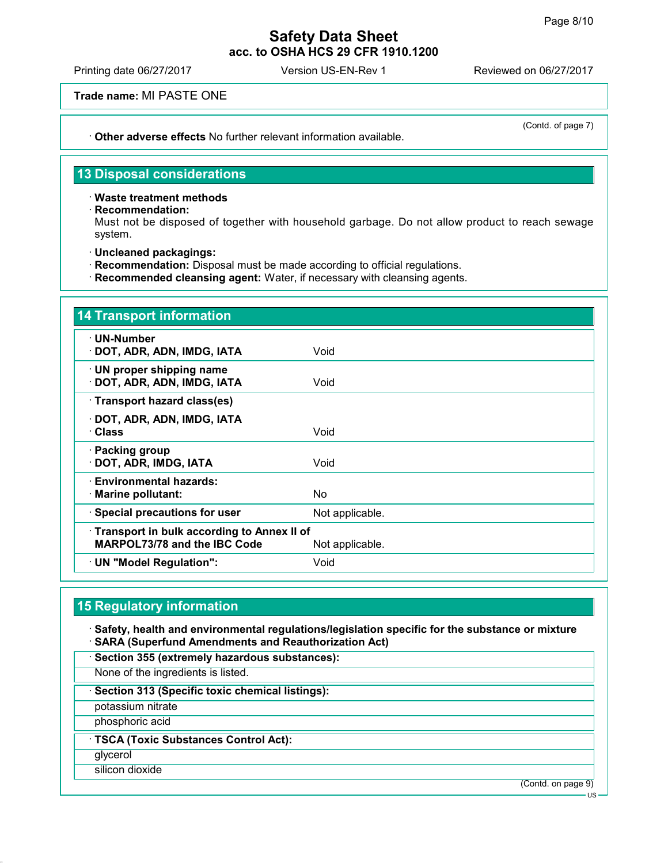(Contd. of page 7)

### **Safety Data Sheet acc. to OSHA HCS 29 CFR 1910.1200**

Printing date 06/27/2017 Version US-EN-Rev 1 Reviewed on 06/27/2017

**Trade name:** MI PASTE ONE

**Other adverse effects** No further relevant information available.

**13 Disposal considerations**

**Waste treatment methods**

**Recommendation:**

Must not be disposed of together with household garbage. Do not allow product to reach sewage system.

- **Uncleaned packagings:**
- **Recommendation:** Disposal must be made according to official regulations.
- **Recommended cleansing agent:** Water, if necessary with cleansing agents.

| <b>14 Transport information</b>                                            |                 |
|----------------------------------------------------------------------------|-----------------|
| · UN-Number<br>· DOT, ADR, ADN, IMDG, IATA                                 | Void            |
| · UN proper shipping name<br>· DOT, ADR, ADN, IMDG, IATA                   | Void            |
| · Transport hazard class(es)                                               |                 |
| · DOT, ADR, ADN, IMDG, IATA<br>· Class                                     | Void            |
| · Packing group<br>· DOT, ADR, IMDG, IATA                                  | Void            |
| · Environmental hazards:<br>· Marine pollutant:                            | No.             |
| · Special precautions for user                                             | Not applicable. |
| Transport in bulk according to Annex II of<br>MARPOL73/78 and the IBC Code | Not applicable. |
| · UN "Model Regulation":                                                   | Void            |

## **15 Regulatory information**

 **Safety, health and environmental regulations/legislation specific for the substance or mixture SARA (Superfund Amendments and Reauthorization Act)**

**Section 355 (extremely hazardous substances):**

None of the ingredients is listed.

**Section 313 (Specific toxic chemical listings):**

potassium nitrate

phosphoric acid

**TSCA (Toxic Substances Control Act):**

glycerol

silicon dioxide

(Contd. on page 9)

US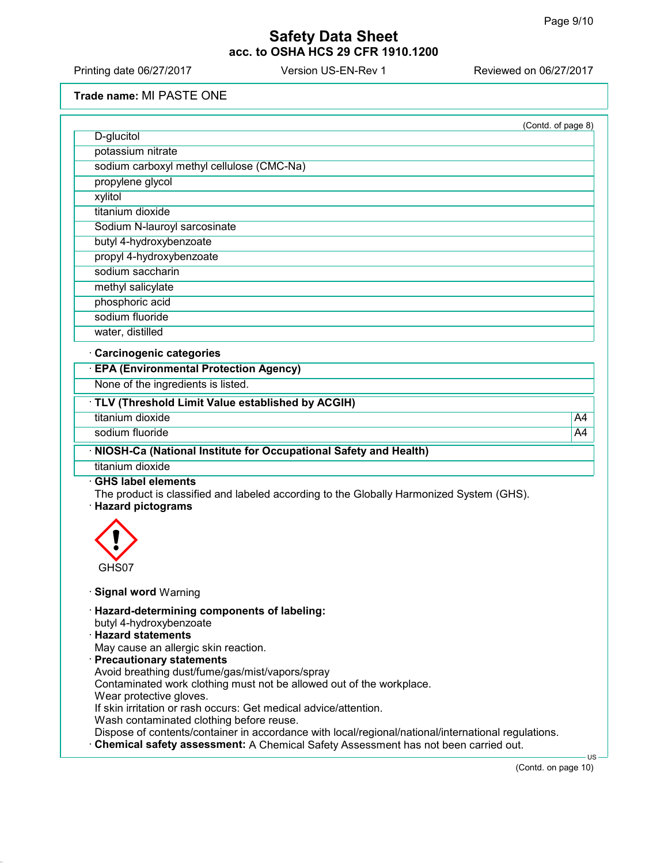Printing date 06/27/2017 Version US-EN-Rev 1 Reviewed on 06/27/2017

**Trade name:** MI PASTE ONE

| D-glucitol                                                                                                                                                                                                                                                                                                                      | (Contd. of page 8) |
|---------------------------------------------------------------------------------------------------------------------------------------------------------------------------------------------------------------------------------------------------------------------------------------------------------------------------------|--------------------|
| potassium nitrate                                                                                                                                                                                                                                                                                                               |                    |
| sodium carboxyl methyl cellulose (CMC-Na)                                                                                                                                                                                                                                                                                       |                    |
| propylene glycol                                                                                                                                                                                                                                                                                                                |                    |
| xylitol                                                                                                                                                                                                                                                                                                                         |                    |
| titanium dioxide                                                                                                                                                                                                                                                                                                                |                    |
| Sodium N-lauroyl sarcosinate                                                                                                                                                                                                                                                                                                    |                    |
| butyl 4-hydroxybenzoate                                                                                                                                                                                                                                                                                                         |                    |
| propyl 4-hydroxybenzoate                                                                                                                                                                                                                                                                                                        |                    |
| sodium saccharin                                                                                                                                                                                                                                                                                                                |                    |
|                                                                                                                                                                                                                                                                                                                                 |                    |
| methyl salicylate                                                                                                                                                                                                                                                                                                               |                    |
| phosphoric acid                                                                                                                                                                                                                                                                                                                 |                    |
| sodium fluoride                                                                                                                                                                                                                                                                                                                 |                    |
| water, distilled                                                                                                                                                                                                                                                                                                                |                    |
| Carcinogenic categories                                                                                                                                                                                                                                                                                                         |                    |
| <b>EPA (Environmental Protection Agency)</b>                                                                                                                                                                                                                                                                                    |                    |
| None of the ingredients is listed.                                                                                                                                                                                                                                                                                              |                    |
| · TLV (Threshold Limit Value established by ACGIH)                                                                                                                                                                                                                                                                              |                    |
| titanium dioxide                                                                                                                                                                                                                                                                                                                | A4                 |
| sodium fluoride                                                                                                                                                                                                                                                                                                                 | A4                 |
| NIOSH-Ca (National Institute for Occupational Safety and Health)                                                                                                                                                                                                                                                                |                    |
| titanium dioxide                                                                                                                                                                                                                                                                                                                |                    |
| <b>GHS label elements</b><br>The product is classified and labeled according to the Globally Harmonized System (GHS).<br><b>Hazard pictograms</b><br>GHS07                                                                                                                                                                      |                    |
| <b>Signal word Warning</b>                                                                                                                                                                                                                                                                                                      |                    |
| · Hazard-determining components of labeling:<br>butyl 4-hydroxybenzoate<br><b>Hazard statements</b><br>May cause an allergic skin reaction.<br>· Precautionary statements<br>Avoid breathing dust/fume/gas/mist/vapors/spray<br>Contaminated work clothing must not be allowed out of the workplace.<br>Wear protective gloves. |                    |

(Contd. on page 10)